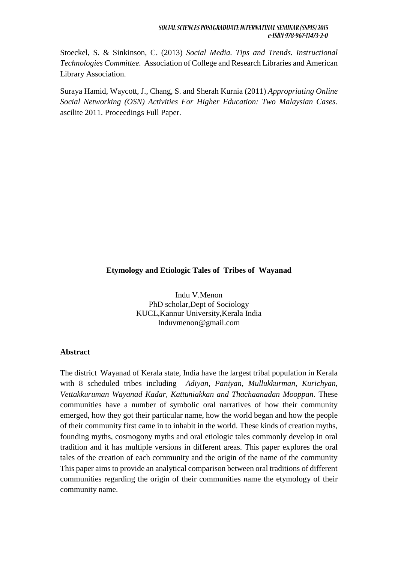#### **Etymology and Etiologic Tales of Tribes of Wayanad**

Indu V.Menon PhD scholar,Dept of Sociology KUCL,Kannur University,Kerala India Induvmenon@gmail.com

#### **Abstract**

The district Wayanad of Kerala state, India have the largest tribal population in Kerala with 8 scheduled tribes including *Adiyan, Paniyan, Mullukkurman, Kurichyan, Vettakkuruman Wayanad Kadar, Kattuniakkan and Thachaanadan Mooppan*. These communities have a number of symbolic oral narratives of how their community emerged, how they got their particular name, how the world began and how the people of their community first came in to inhabit in the world. These kinds of creation myths, founding myths, cosmogony myths and oral etiologic tales commonly develop in oral tradition and it has multiple versions in different areas. This paper explores the oral tales of the creation of each community and the origin of the name of the community This paper aims to provide an analytical comparison between oral traditions of different communities regarding the origin of their communities name the etymology of their community name.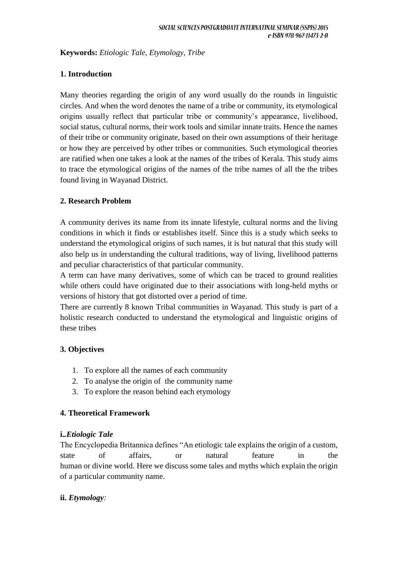**Keywords:** *Etiologic Tale, Etymology, Tribe*

## **1. Introduction**

Many theories regarding the origin of any word usually do the rounds in linguistic circles. And when the word denotes the name of a tribe or community, its etymological origins usually reflect that particular tribe or community's appearance, livelihood, social status, cultural norms, their work tools and similar innate traits. Hence the names of their tribe or community originate, based on their own assumptions of their heritage or how they are perceived by other tribes or communities. Such etymological theories are ratified when one takes a look at the names of the tribes of Kerala. This study aims to trace the etymological origins of the names of the tribe names of all the the tribes found living in Wayanad District.

## **2. Research Problem**

A community derives its name from its innate lifestyle, cultural norms and the living conditions in which it finds or establishes itself. Since this is a study which seeks to understand the etymological origins of such names, it is but natural that this study will also help us in understanding the cultural traditions, way of living, livelihood patterns and peculiar characteristics of that particular community.

A term can have many derivatives, some of which can be traced to ground realities while others could have originated due to their associations with long-held myths or versions of history that got distorted over a period of time.

There are currently 8 known Tribal communities in Wayanad. This study is part of a holistic research conducted to understand the etymological and linguistic origins of these tribes

# **3. Objectives**

- 1. To explore all the names of each community
- 2. To analyse the origin of the community name
- 3. To explore the reason behind each etymology

#### **4. Theoretical Framework**

#### **i.***.Etiologic Tale*

The Encyclopedia Britannica defines "An etiologic tale explains the origin of a custom, state of affairs, or natural feature in the human or divine world. Here we discuss some tales and myths which explain the origin of a particular community name.

# **ii.** *Etymology:*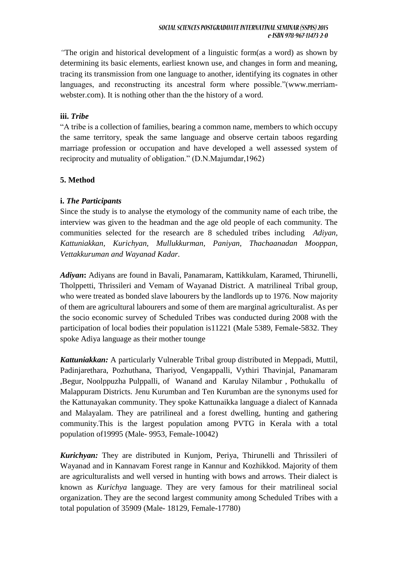*"*The origin and historical development of a linguistic form(as a word) as shown by determining its basic elements, earliest known use, and changes in form and meaning, tracing its transmission from one language to another, identifying its cognates in other languages, and reconstructing its ancestral form where possible."(www.merriamwebster.com). It is nothing other than the the history of a word.

#### **iii.** *Tribe*

"A tribe is a collection of families, bearing a common name, members to which occupy the same territory, speak the same language and observe certain taboos regarding marriage profession or occupation and have developed a well assessed system of reciprocity and mutuality of obligation." (D.N.Majumdar,1962)

#### **5. Method**

#### **i.** *The Participants*

Since the study is to analyse the etymology of the community name of each tribe, the interview was given to the headman and the age old people of each community. The communities selected for the research are 8 scheduled tribes including *Adiyan, Kattuniakkan, Kurichyan, Mullukkurman, Paniyan, Thachaanadan Mooppan, Vettakkuruman and Wayanad Kadar.*

*Adiyan***:** Adiyans are found in Bavali, Panamaram, Kattikkulam, Karamed, Thirunelli, Tholppetti, Thrissileri and Vemam of Wayanad District. A matrilineal Tribal group, who were treated as bonded slave labourers by the landlords up to 1976. Now majority of them are agricultural labourers and some of them are marginal agriculturalist. As per the socio economic survey of Scheduled Tribes was conducted during 2008 with the participation of local bodies their population is11221 (Male 5389, Female-5832. They spoke Adiya language as their mother tounge

*Kattuniakkan:* A particularly Vulnerable Tribal group distributed in Meppadi, Muttil, Padinjarethara, Pozhuthana, Thariyod, Vengappalli, Vythiri Thavinjal, Panamaram ,Begur, Noolppuzha Pulppalli, of Wanand and Karulay Nilambur , Pothukallu of Malappuram Districts. Jenu Kurumban and Ten Kurumban are the synonyms used for the Kattunayakan community. They spoke Kattunaikka language a dialect of Kannada and Malayalam. They are patrilineal and a forest dwelling, hunting and gathering community.This is the largest population among PVTG in Kerala with a total population of19995 (Male- 9953, Female-10042)

*Kurichyan:* They are distributed in Kunjom, Periya, Thirunelli and Thrissileri of Wayanad and in Kannavam Forest range in Kannur and Kozhikkod. Majority of them are agriculturalists and well versed in hunting with bows and arrows. Their dialect is known as *Kurichya* language. They are very famous for their matrilineal social organization. They are the second largest community among Scheduled Tribes with a total population of 35909 (Male- 18129, Female-17780)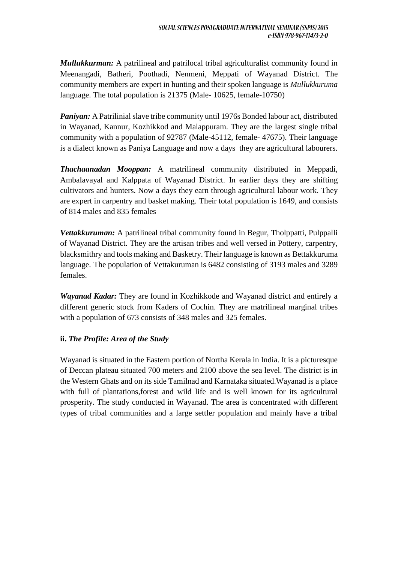*Mullukkurman:* A patrilineal and patrilocal tribal agriculturalist community found in Meenangadi, Batheri, Poothadi, Nenmeni, Meppati of Wayanad District. The community members are expert in hunting and their spoken language is *Mullukkuruma* language. The total population is 21375 (Male- 10625, female-10750)

*Paniyan:* A Patrilinial slave tribe community until 1976s Bonded labour act, distributed in Wayanad, Kannur, Kozhikkod and Malappuram. They are the largest single tribal community with a population of 92787 (Male-45112, female- 47675). Their language is a dialect known as Paniya Language and now a days they are agricultural labourers.

*Thachaanadan Mooppan:* A matrilineal community distributed in Meppadi, Ambalavayal and Kalppata of Wayanad District. In earlier days they are shifting cultivators and hunters. Now a days they earn through agricultural labour work. They are expert in carpentry and basket making. Their total population is 1649, and consists of 814 males and 835 females

*Vettakkuruman:* A patrilineal tribal community found in Begur, Tholppatti, Pulppalli of Wayanad District. They are the artisan tribes and well versed in Pottery, carpentry, blacksmithry and tools making and Basketry. Their language is known as Bettakkuruma language. The population of Vettakuruman is 6482 consisting of 3193 males and 3289 females.

*Wayanad Kadar:* They are found in Kozhikkode and Wayanad district and entirely a different generic stock from Kaders of Cochin. They are matrilineal marginal tribes with a population of 673 consists of 348 males and 325 females.

#### **ii.** *The Profile: Area of the Study*

Wayanad is situated in the Eastern portion of Northa Kerala in India. It is a picturesque of Deccan plateau situated 700 meters and 2100 above the sea level. The district is in the Western Ghats and on its side Tamilnad and Karnataka situated.Wayanad is a place with full of plantations,forest and wild life and is well known for its agricultural prosperity. The study conducted in Wayanad. The area is concentrated with different types of tribal communities and a large settler population and mainly have a tribal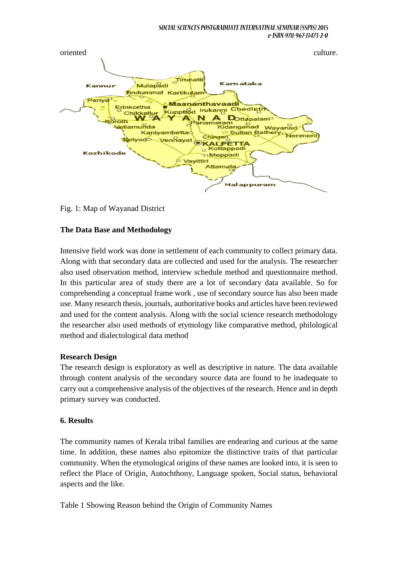

Fig. 1: Map of Wayanad District

#### **The Data Base and Methodology**

Intensive field work was done in settlement of each community to collect primary data. Along with that secondary data are collected and used for the analysis. The researcher also used observation method, interview schedule method and questionnaire method. In this particular area of study there are a lot of secondary data available. So for comprehending a conceptual frame work , use of secondary source has also been made use. Many research thesis, journals, authoritative books and articles have been reviewed and used for the content analysis. Along with the social science research methodology the researcher also used methods of etymology like comparative method, philological method and dialectological data method

#### **Research Design**

The research design is exploratory as well as descriptive in nature. The data available through content analysis of the secondary source data are found to be inadequate to carry out a comprehensive analysis of the objectives of the research. Hence and in depth primary survey was conducted.

#### **6. Results**

The community names of Kerala tribal families are endearing and curious at the same time. In addition, these names also epitomize the distinctive traits of that particular community. When the etymological origins of these names are looked into, it is seen to reflect the Place of Origin, Autochthony, Language spoken, Social status, behavioral aspects and the like.

Table 1 Showing Reason behind the Origin of Community Names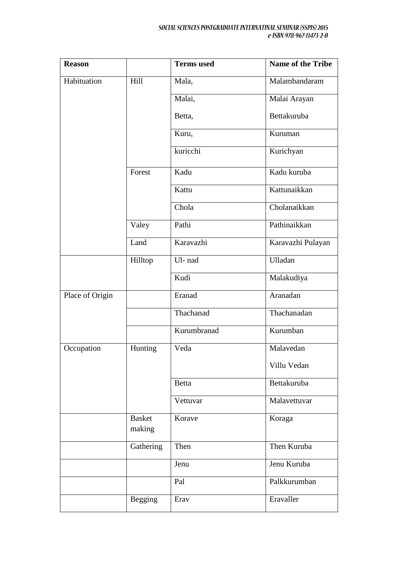| <b>Reason</b>   |                         | <b>Terms</b> used | <b>Name of the Tribe</b> |
|-----------------|-------------------------|-------------------|--------------------------|
| Habituation     | Hill                    | Mala,             | Malambandaram            |
|                 |                         | Malai,            | Malai Arayan             |
|                 |                         | Betta,            | Bettakuruba              |
|                 |                         | Kuru,             | Kuruman                  |
|                 |                         | kuricchi          | Kurichyan                |
|                 | Forest                  | Kadu              | Kadu kuruba              |
|                 |                         | Kattu             | Kattunaikkan             |
|                 |                         | Chola             | Cholanaikkan             |
|                 | Valey                   | Pathi             | Pathinaikkan             |
|                 | Land                    | Karavazhi         | Karavazhi Pulayan        |
|                 | Hilltop                 | Ul-nad            | Ulladan                  |
|                 |                         | Kudi              | Malakudiya               |
| Place of Origin |                         | Eranad            | Aranadan                 |
|                 |                         | Thachanad         | Thachanadan              |
|                 |                         | Kurumbranad       | Kurumban                 |
| Occupation      | Hunting                 | Veda              | Malavedan                |
|                 |                         |                   | Villu Vedan              |
|                 |                         | <b>Betta</b>      | Bettakuruba              |
|                 |                         | Vettuvar          | Malavettuvar             |
|                 | <b>Basket</b><br>making | Korave            | Koraga                   |
|                 | Gathering               | Then              | Then Kuruba              |
|                 |                         | Jenu              | Jenu Kuruba              |
|                 |                         | Pal               | Palkkurumban             |
|                 | Begging                 | Erav              | Eravaller                |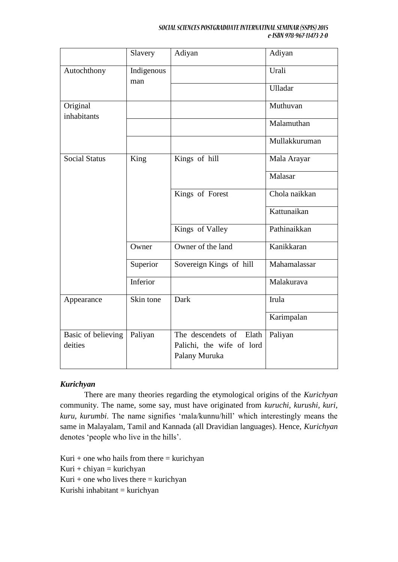#### SOCIAL SCIENCES POSTGRADUATE INTERNATINAL SEMINAR (SSPIS) 2015 e-ISBN 978-967-11473-2-0

|                               | Slavery           | Adiyan                                                                   | Adiyan        |
|-------------------------------|-------------------|--------------------------------------------------------------------------|---------------|
| Autochthony                   | Indigenous<br>man |                                                                          | Urali         |
|                               |                   |                                                                          | Ulladar       |
| Original<br>inhabitants       |                   |                                                                          | Muthuvan      |
|                               |                   |                                                                          | Malamuthan    |
|                               |                   |                                                                          | Mullakkuruman |
| <b>Social Status</b>          | King              | Kings of hill                                                            | Mala Arayar   |
|                               |                   |                                                                          | Malasar       |
|                               |                   | Kings of Forest                                                          | Chola naikkan |
|                               |                   |                                                                          | Kattunaikan   |
|                               |                   | Kings of Valley                                                          | Pathinaikkan  |
|                               | Owner             | Owner of the land                                                        | Kanikkaran    |
|                               | Superior          | Sovereign Kings of hill                                                  | Mahamalassar  |
|                               | Inferior          |                                                                          | Malakurava    |
| Appearance                    | Skin tone         | Dark                                                                     | Irula         |
|                               |                   |                                                                          | Karimpalan    |
| Basic of believing<br>deities | Paliyan           | The descendets of<br>Elath<br>Palichi, the wife of lord<br>Palany Muruka | Paliyan       |

#### *Kurichyan*

There are many theories regarding the etymological origins of the *Kurichyan* community. The name, some say, must have originated from *kuruchi, kurushi, kuri, kuru, kurumbi*. The name signifies 'mala/kunnu/hill' which interestingly means the same in Malayalam, Tamil and Kannada (all Dravidian languages). Hence, *Kurichyan* denotes 'people who live in the hills'.

Kuri + one who hails from there  $=$  kurichyan  $Kuri + chiyan = kurichyan$ Kuri + one who lives there  $=$  kurichyan Kurishi inhabitant = kurichyan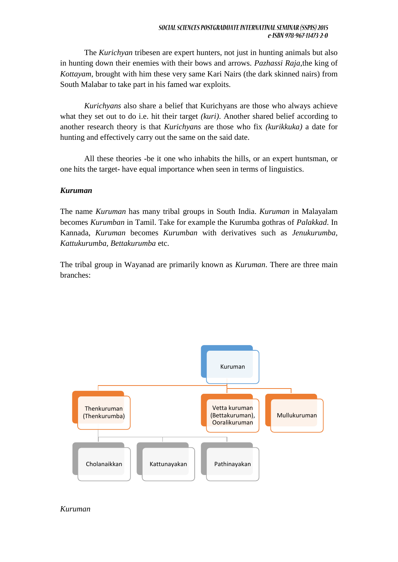The *Kurichyan* tribesen are expert hunters, not just in hunting animals but also in hunting down their enemies with their bows and arrows. *Pazhassi Raja*,the king of *Kottayam*, brought with him these very same Kari Nairs (the dark skinned nairs) from South Malabar to take part in his famed war exploits.

*Kurichyans* also share a belief that Kurichyans are those who always achieve what they set out to do i.e. hit their target *(kuri)*. Another shared belief according to another research theory is that *Kurichyans* are those who fix *(kurikkuka)* a date for hunting and effectively carry out the same on the said date.

All these theories -be it one who inhabits the hills, or an expert huntsman, or one hits the target- have equal importance when seen in terms of linguistics.

#### *Kuruman*

The name *Kuruman* has many tribal groups in South India. *Kuruman* in Malayalam becomes *Kurumban* in Tamil. Take for example the Kurumba gothras of *Palakkad*. In Kannada, *Kuruman* becomes *Kurumban* with derivatives such as *Jenukurumba, Kattukurumba, Bettakurumba* etc.

The tribal group in Wayanad are primarily known as *Kuruman*. There are three main branches:



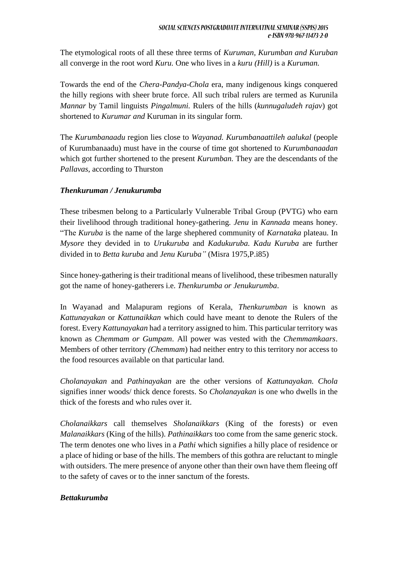The etymological roots of all these three terms of *Kuruman, Kurumban and Kuruban* all converge in the root word *Kuru.* One who lives in a *kuru (Hill)* is a *Kuruman.*

Towards the end of the *Chera-Pandya-Chola* era, many indigenous kings conquered the hilly regions with sheer brute force. All such tribal rulers are termed as Kurunila *Mannar* by Tamil linguists *Pingalmuni.* Rulers of the hills (*kunnugaludeh rajav*) got shortened to *Kurumar and* Kuruman in its singular form.

The *Kurumbanaadu* region lies close to *Wayanad. Kurumbanaattileh aalukal* (people of Kurumbanaadu) must have in the course of time got shortened to *Kurumbanaadan* which got further shortened to the present *Kurumban.* They are the descendants of the *Pallavas*, according to Thurston

# *Thenkuruman / Jenukurumba*

These tribesmen belong to a Particularly Vulnerable Tribal Group (PVTG) who earn their livelihood through traditional honey-gathering. *Jenu* in *Kannada* means honey. "The *Kuruba* is the name of the large shephered community of *Karnataka* plateau. In *Mysore* they devided in to *Urukuruba* and *Kadukuruba. Kadu Kuruba* are further divided in to *Betta kuruba* and *Jenu Kuruba"* (Misra 1975,P.i85)

Since honey-gathering is their traditional means of livelihood, these tribesmen naturally got the name of honey-gatherers i.e. *Thenkurumba or Jenukurumba*.

In Wayanad and Malapuram regions of Kerala, *Thenkurumban* is known as *Kattunayakan* or *Kattunaikkan* which could have meant to denote the Rulers of the forest. Every *Kattunayakan* had a territory assigned to him. This particular territory was known as *Chemmam or Gumpam*. All power was vested with the *Chemmamkaars*. Members of other territory *(Chemmam*) had neither entry to this territory nor access to the food resources available on that particular land.

*Cholanayakan* and *Pathinayakan* are the other versions of *Kattunayakan. Chola*  signifies inner woods/ thick dence forests. So *Cholanayakan* is one who dwells in the thick of the forests and who rules over it.

*Cholanaikkars* call themselves *Sholanaikkars* (King of the forests) or even *Malanaikkars* (King of the hills). *Pathinaikkars* too come from the same generic stock. The term denotes one who lives in a *Pathi* which signifies a hilly place of residence or a place of hiding or base of the hills. The members of this gothra are reluctant to mingle with outsiders. The mere presence of anyone other than their own have them fleeing off to the safety of caves or to the inner sanctum of the forests.

# *Bettakurumba*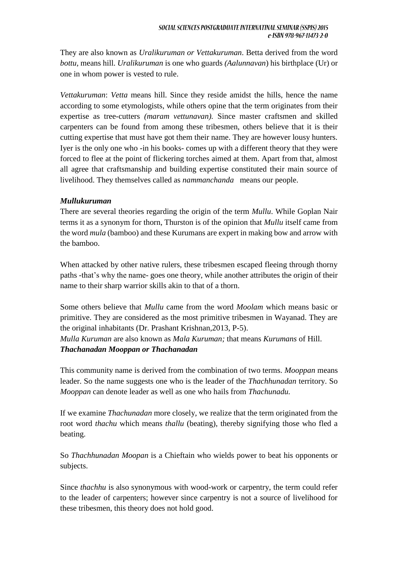They are also known as *Uralikuruman or Vettakuruman*. Betta derived from the word *bottu,* means hill. *Uralikuruman* is one who guards *(Aalunnavan*) his birthplace (Ur) or one in whom power is vested to rule.

*Vettakuruman*: *Vetta* means hill. Since they reside amidst the hills, hence the name according to some etymologists, while others opine that the term originates from their expertise as tree-cutters *(maram vettunavan).* Since master craftsmen and skilled carpenters can be found from among these tribesmen, others believe that it is their cutting expertise that must have got them their name. They are however lousy hunters. Iyer is the only one who -in his books- comes up with a different theory that they were forced to flee at the point of flickering torches aimed at them. Apart from that, almost all agree that craftsmanship and building expertise constituted their main source of livelihood. They themselves called as *nammanchanda* means our people.

#### *Mullukuruman*

There are several theories regarding the origin of the term *Mullu*. While Goplan Nair terms it as a synonym for thorn, Thurston is of the opinion that *Mullu* itself came from the word *mula* (bamboo) and these Kurumans are expert in making bow and arrow with the bamboo.

When attacked by other native rulers, these tribesmen escaped fleeing through thorny paths -that's why the name- goes one theory, while another attributes the origin of their name to their sharp warrior skills akin to that of a thorn.

Some others believe that *Mullu* came from the word *Moolam* which means basic or primitive. They are considered as the most primitive tribesmen in Wayanad. They are the original inhabitants (Dr. Prashant Krishnan,2013, P-5).

*Mulla Kuruman* are also known as *Mala Kuruman;* that means *Kurumans* of Hill. *Thachanadan Mooppan or Thachanadan*

This community name is derived from the combination of two terms. *Mooppan* means leader. So the name suggests one who is the leader of the *Thachhunadan* territory. So *Mooppan* can denote leader as well as one who hails from *Thachunadu.*

If we examine *Thachunadan* more closely, we realize that the term originated from the root word *thachu* which means *thallu* (beating), thereby signifying those who fled a beating.

So *Thachhunadan Moopan* is a Chieftain who wields power to beat his opponents or subjects.

Since *thachhu* is also synonymous with wood-work or carpentry, the term could refer to the leader of carpenters; however since carpentry is not a source of livelihood for these tribesmen, this theory does not hold good.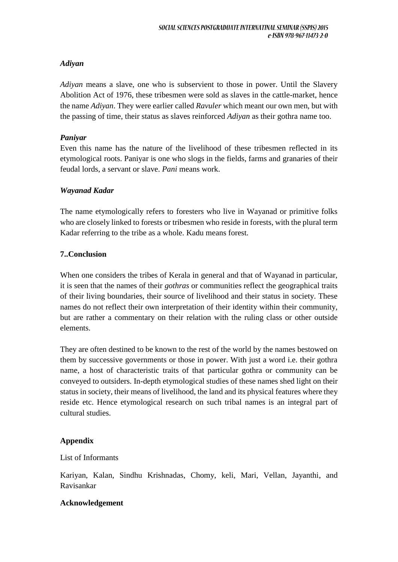## *Adiyan*

*Adiyan* means a slave, one who is subservient to those in power. Until the Slavery Abolition Act of 1976, these tribesmen were sold as slaves in the cattle-market, hence the name *Adiyan*. They were earlier called *Ravuler* which meant our own men, but with the passing of time, their status as slaves reinforced *Adiyan* as their gothra name too.

## *Paniyar*

Even this name has the nature of the livelihood of these tribesmen reflected in its etymological roots. Paniyar is one who slogs in the fields, farms and granaries of their feudal lords, a servant or slave. *Pani* means work.

## *Wayanad Kadar*

The name etymologically refers to foresters who live in Wayanad or primitive folks who are closely linked to forests or tribesmen who reside in forests, with the plural term Kadar referring to the tribe as a whole. Kadu means forest.

## **7..Conclusion**

When one considers the tribes of Kerala in general and that of Wayanad in particular, it is seen that the names of their *gothras* or communities reflect the geographical traits of their living boundaries, their source of livelihood and their status in society. These names do not reflect their own interpretation of their identity within their community, but are rather a commentary on their relation with the ruling class or other outside elements.

They are often destined to be known to the rest of the world by the names bestowed on them by successive governments or those in power. With just a word i.e. their gothra name, a host of characteristic traits of that particular gothra or community can be conveyed to outsiders. In-depth etymological studies of these names shed light on their status in society, their means of livelihood, the land and its physical features where they reside etc. Hence etymological research on such tribal names is an integral part of cultural studies.

# **Appendix**

#### List of Informants

Kariyan, Kalan, Sindhu Krishnadas, Chomy, keli, Mari, Vellan, Jayanthi, and Ravisankar

#### **Acknowledgement**